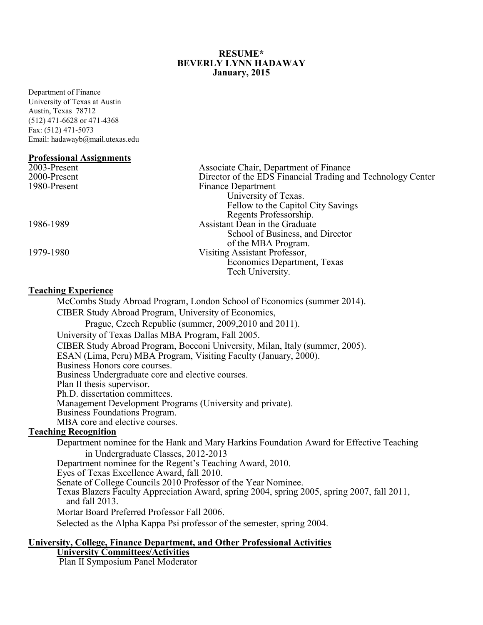#### **RESUME\* BEVERLY LYNN HADAWAY January, 2015**

Department of Finance University of Texas at Austin Austin, Texas 78712 (512) 471-6628 or 471-4368 Fax: (512) 471-5073 Email: hadawayb@mail.utexas.edu

#### **Professional Assignments**

| 2003-Present | Associate Chair, Department of Finance                      |
|--------------|-------------------------------------------------------------|
| 2000-Present | Director of the EDS Financial Trading and Technology Center |
| 1980-Present | Finance Department                                          |
|              | University of Texas.                                        |
|              | Fellow to the Capitol City Savings                          |
|              | Regents Professorship.                                      |
| 1986-1989    | Assistant Dean in the Graduate                              |
|              | School of Business, and Director                            |
|              | of the MBA Program.                                         |
| 1979-1980    | Visiting Assistant Professor,                               |
|              | Economics Department, Texas                                 |
|              | Tech University.                                            |
|              |                                                             |

## **Teaching Experience**

McCombs Study Abroad Program, London School of Economics (summer 2014). CIBER Study Abroad Program, University of Economics, Prague, Czech Republic (summer, 2009,2010 and 2011). University of Texas Dallas MBA Program, Fall 2005. CIBER Study Abroad Program, Bocconi University, Milan, Italy (summer, 2005). ESAN (Lima, Peru) MBA Program, Visiting Faculty (January, 2000). Business Honors core courses. Business Undergraduate core and elective courses. Plan II thesis supervisor. Ph.D. dissertation committees. Management Development Programs (University and private). Business Foundations Program. MBA core and elective courses.

# **Teaching Recognition**

Department nominee for the Hank and Mary Harkins Foundation Award for Effective Teaching in Undergraduate Classes, 2012-2013 Department nominee for the Regent's Teaching Award, 2010. Eyes of Texas Excellence Award, fall 2010. Texas Blazers Faculty Appreciation Award, spring 2004, spring 2005, spring 2007, fall 2011, and fall 2013. Mortar Board Preferred Professor Fall 2006. Selected as the Alpha Kappa Psi professor of the semester, spring 2004.

#### **University, College, Finance Department, and Other Professional Activities University Committees/Activities**

Plan II Symposium Panel Moderator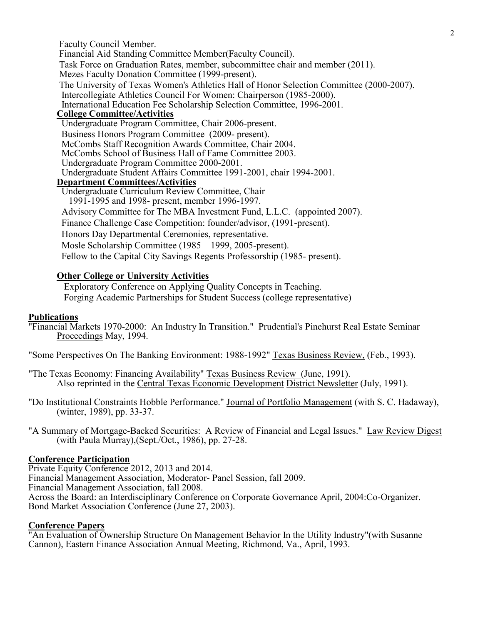2

Faculty Council Member. Financial Aid Standing Committee Member(Faculty Council). Task Force on Graduation Rates, member, subcommittee chair and member (2011). Mezes Faculty Donation Committee (1999-present). The University of Texas Women's Athletics Hall of Honor Selection Committee (2000-2007). Intercollegiate Athletics Council For Women: Chairperson (1985-2000). International Education Fee Scholarship Selection Committee, 1996-2001. **College Committee/Activities** Undergraduate Program Committee, Chair 2006-present. Business Honors Program Committee (2009- present).<br>McCombs Staff Recognition Awards Committee, Chair 2004. McCombs School of Business Hall of Fame Committee 2003.<br>Undergraduate Program Committee 2000-2001.<br>Undergraduate Student Affairs Committee 1991-2001, chair 1994-2001.<br>Department Committees/Activities Undergraduate Curriculum Review Committee, Chair 1991-1995 and 1998- present, member 1996-1997. Advisory Committee for The MBA Investment Fund, L.L.C. (appointed 2007). Finance Challenge Case Competition: founder/advisor, (1991-present). Honors Day Departmental Ceremonies, representative. Mosle Scholarship Committee (1985 – 1999, 2005-present). Fellow to the Capital City Savings Regents Professorship (1985- present).

# **Other College or University Activities**

 Exploratory Conference on Applying Quality Concepts in Teaching. Forging Academic Partnerships for Student Success (college representative)

# **Publications**

"Financial Markets 1970-2000: An Industry In Transition." Prudential's Pinehurst Real Estate Seminar Proceedings May, 1994.

"Some Perspectives On The Banking Environment: 1988-1992" Texas Business Review, (Feb., 1993).

- "The Texas Economy: Financing Availability" Texas Business Review (June, 1991). Also reprinted in the Central Texas Economic Development District Newsletter (July, 1991).
- "Do Institutional Constraints Hobble Performance." Journal of Portfolio Management (with S. C. Hadaway), (winter, 1989), pp. 33-37.
- "A Summary of Mortgage-Backed Securities: A Review of Financial and Legal Issues." Law Review Digest (with Paula Murray),(Sept./Oct., 1986), pp. 27-28.

# **Conference Participation**

Private Equity Conference 2012, 2013 and 2014. Financial Management Association, Moderator- Panel Session, fall 2009. Financial Management Association, fall 2008. Across the Board: an Interdisciplinary Conference on Corporate Governance April, 2004:Co-Organizer. Bond Market Association Conference (June 27, 2003).

# **Conference Papers**

"An Evaluation of Ownership Structure On Management Behavior In the Utility Industry"(with Susanne Cannon), Eastern Finance Association Annual Meeting, Richmond, Va., April, 1993.